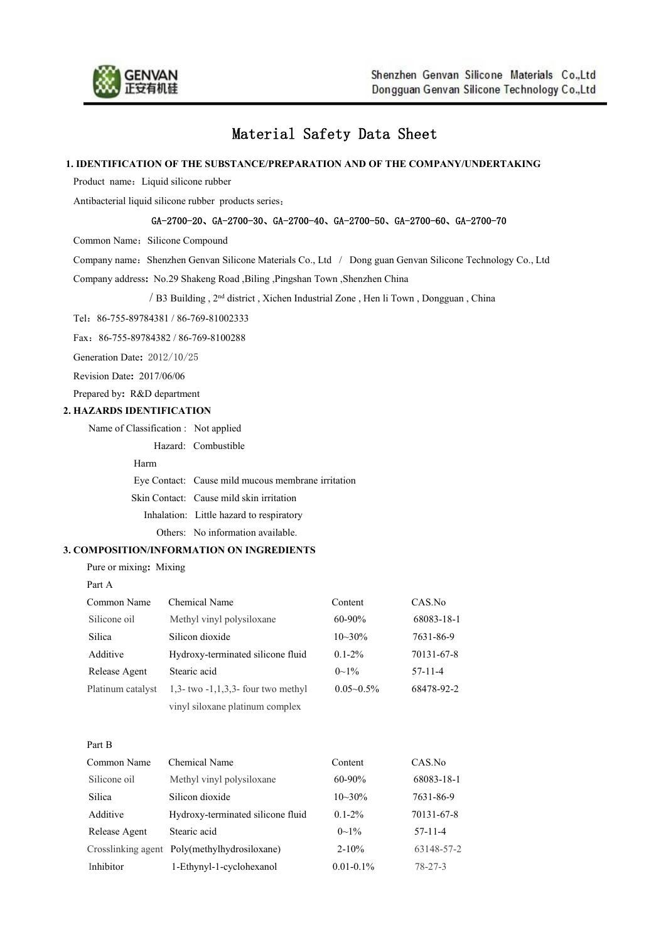

# Material Safety Data Sheet

#### **1. IDENTIFICATION OF THE SUBSTANCE/PREPARATION AND OF THE COMPANY/UNDERTAKING**

Product name: Liquid silicone rubber

Antibacterial liquid silicone rubber products series:

## GA-2700-20、GA-2700-30、GA-2700-40、GA-2700-50、GA-2700-60、GA-2700-70

Common Name: Silicone Compound

Company name: Shenzhen Genvan Silicone Materials Co., Ltd / Dong guan Genvan Silicone Technology Co., Ltd

Company address**:** No.29 Shakeng Road ,Biling ,Pingshan Town ,Shenzhen China

/ B3 Building, 2<sup>nd</sup> district, Xichen Industrial Zone, Hen li Town, Dongguan, China

Tel:86-755-89784381 / 86-769-81002333

Fax:86-755-89784382 / 86-769-8100288

Generation Date**:** 2012/10/25

Revision Date**:** 2017/06/06

Prepared by**:** R&D department

## **2. HAZARDS IDENTIFICATION**

Name of Classification : Not applied

Hazard: Combustible

#### Harm **Harm Harm Harm Harm Harm Harm Harm Harma**

Eye Contact: Cause mild mucous membrane irritation

Skin Contact: Cause mild skin irritation

Inhalation: Little hazard to respiratory

Others: No information available.

# **3. COMPOSITION/INFORMATION ON INGREDIENTS**

Pure or mixing**:** Mixing

Common Name Chemical Name Content CAS.No Silicone oil Methyl vinyl polysiloxane 60-90% 68083-18-1 Silica Silicon dioxide 10~30% 7631-86-9 Additive Hydroxy-terminated silicone fluid 0.1-2% 70131-67-8 Release Agent Stearic acid  $0 \sim 1\%$  57-11-4 Platinum catalyst 1,3- two -1,1,3,3- four two methyl 0.05~0.5% 68478-92-2 vinyl siloxane platinum complex

Part B

Part A

| Common Name   | Chemical Name                                | Content        | CAS.No        |  |
|---------------|----------------------------------------------|----------------|---------------|--|
| Silicone oil  | Methyl vinyl polysiloxane                    | $60 - 90\%$    | 68083-18-1    |  |
| Silica        | Silicon dioxide                              | $10 - 30\%$    | 7631-86-9     |  |
| Additive      | Hydroxy-terminated silicone fluid            | $0.1 - 2\%$    | 70131-67-8    |  |
| Release Agent | Stearic acid                                 | $0\sim1\%$     | $57-11-4$     |  |
|               | Crosslinking agent Poly(methylhydrosiloxane) | $2 - 10\%$     | 63148-57-2    |  |
| Inhibitor     | 1-Ethynyl-1-cyclohexanol                     | $0.01 - 0.1\%$ | $78 - 27 - 3$ |  |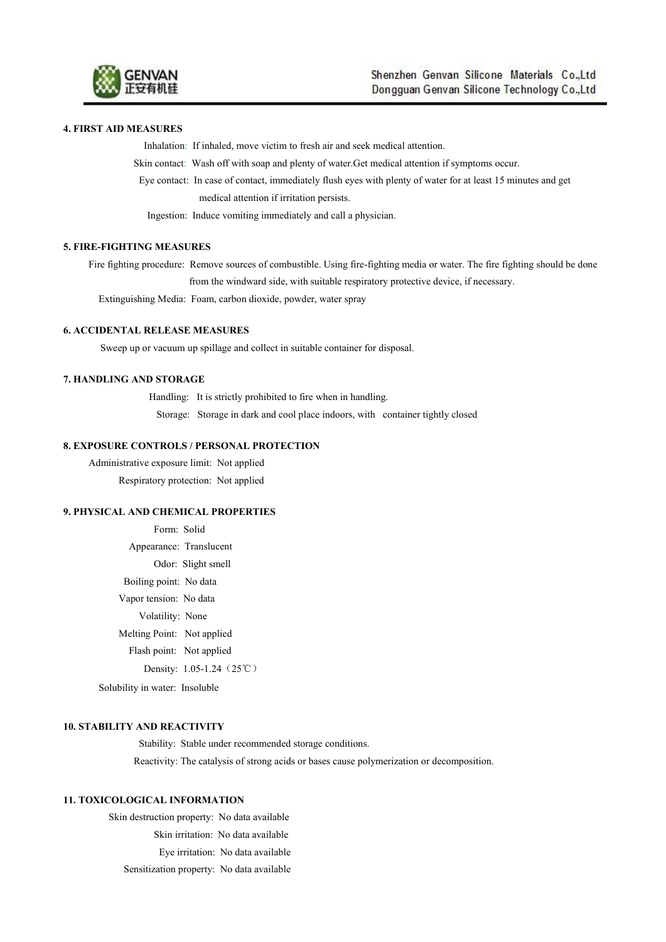

## **4. FIRST AID MEASURES**

Inhalation: If inhaled, move victim to fresh air and seek medical attention.

Skin contact: Wash off with soap and plenty of water.Get medical attention if symptoms occur.

Eye contact: In case of contact, immediately flush eyes with plenty of water for at least 15 minutes and get medical attention if irritation persists.

Ingestion: Induce vomiting immediately and call a physician.

## **5. FIRE-FIGHTING MEASURES**

Fire fighting procedure: Remove sources of combustible. Using fire-fighting media or water. The fire fighting should be done from the windward side, with suitable respiratory protective device, if necessary.

Extinguishing Media: Foam, carbon dioxide, powder, water spray

## **6. ACCIDENTAL RELEASE MEASURES**

Sweep up or vacuum up spillage and collect in suitable container for disposal.

# **7. HANDLING AND STORAGE**

Handling: It is strictly prohibited to fire when in handling. Storage: Storage in dark and cool place indoors, with container tightly closed

#### **8. EXPOSURE CONTROLS / PERSONAL PROTECTION**

Administrative exposure limit: Not applied Respiratory protection: Not applied

## **9. PHYSICAL AND CHEMICAL PROPERTIES**

Form: Solid Appearance: Translucent Odor: Slight smell Boiling point: No data Vapor tension: No data Volatility: None Melting Point: Not applied Flash point: Not applied Density: 1.05-1.24 (25℃) Solubility in water: Insoluble

## **10. STABILITY AND REACTIVITY**

Stability: Stable under recommended storage conditions.

Reactivity: The catalysis of strong acids or bases cause polymerization or decomposition.

#### **11. TOXICOLOGICAL INFORMATION**

Skin destruction property: No data available Skin irritation: No data available Eye irritation: No data available Sensitization property: No data available